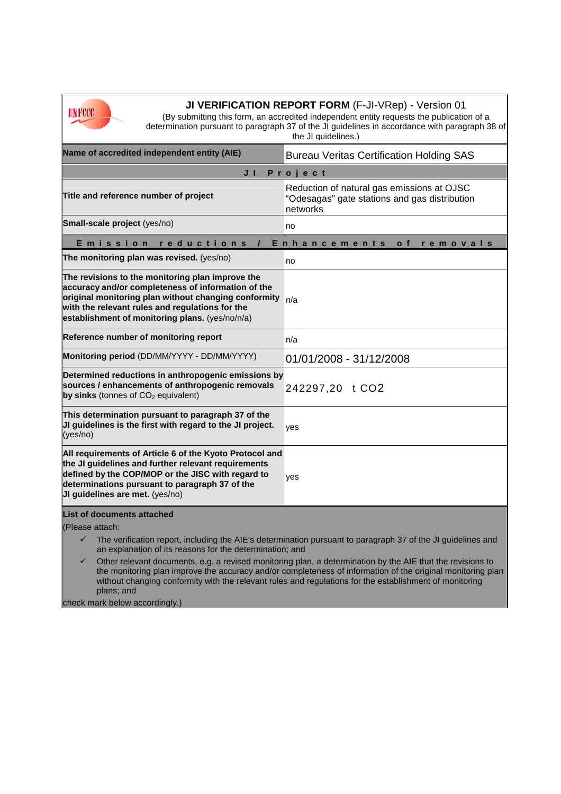

**JI VERIFICATION REPORT FORM** (F-JI-VRep) - Version 01

(By submitting this form, an accredited independent entity requests the publication of a determination pursuant to paragraph 37 of the JI guidelines in accordance with paragraph 38 of the JI guidelines.)

| Name of accredited independent entity (AIE)                                                                                                                                                                                                                                                                                               | <b>Bureau Veritas Certification Holding SAS</b>                                                         |
|-------------------------------------------------------------------------------------------------------------------------------------------------------------------------------------------------------------------------------------------------------------------------------------------------------------------------------------------|---------------------------------------------------------------------------------------------------------|
| Project<br>JI                                                                                                                                                                                                                                                                                                                             |                                                                                                         |
| Title and reference number of project                                                                                                                                                                                                                                                                                                     | Reduction of natural gas emissions at OJSC<br>"Odesagas" gate stations and gas distribution<br>networks |
| Small-scale project (yes/no)                                                                                                                                                                                                                                                                                                              | no                                                                                                      |
| Emission<br>reductions<br>Enhancements<br>o f<br>removals                                                                                                                                                                                                                                                                                 |                                                                                                         |
| The monitoring plan was revised. (yes/no)                                                                                                                                                                                                                                                                                                 | no                                                                                                      |
| The revisions to the monitoring plan improve the<br>accuracy and/or completeness of information of the<br>original monitoring plan without changing conformity<br>with the relevant rules and regulations for the<br>establishment of monitoring plans. (yes/no/n/a)                                                                      | n/a                                                                                                     |
| Reference number of monitoring report                                                                                                                                                                                                                                                                                                     | n/a                                                                                                     |
| Monitoring period (DD/MM/YYYY - DD/MM/YYYY)                                                                                                                                                                                                                                                                                               | 01/01/2008 - 31/12/2008                                                                                 |
| Determined reductions in anthropogenic emissions by<br>sources / enhancements of anthropogenic removals<br>by sinks (tonnes of CO <sub>2</sub> equivalent)                                                                                                                                                                                | 242297,20 t CO2                                                                                         |
| This determination pursuant to paragraph 37 of the<br>JI guidelines is the first with regard to the JI project.<br>(yes/no)                                                                                                                                                                                                               | yes                                                                                                     |
| All requirements of Article 6 of the Kyoto Protocol and<br>the JI guidelines and further relevant requirements<br>defined by the COP/MOP or the JISC with regard to<br>determinations pursuant to paragraph 37 of the<br>JI guidelines are met. (yes/no)                                                                                  | yes                                                                                                     |
| List of documents attached                                                                                                                                                                                                                                                                                                                |                                                                                                         |
| (Please attach:                                                                                                                                                                                                                                                                                                                           |                                                                                                         |
| The verification report, including the AIE's determination pursuant to paragraph 37 of the JI guidelines and<br>✓<br>an explanation of its reasons for the determination; and                                                                                                                                                             |                                                                                                         |
| Other relevant documents, e.g. a revised monitoring plan, a determination by the AIE that the revisions to<br>✓<br>the monitoring plan improve the accuracy and/or completeness of information of the original monitoring plan<br>without changing conformity with the relevant rules and regulations for the establishment of monitoring |                                                                                                         |

plans; and

check mark below accordingly.)